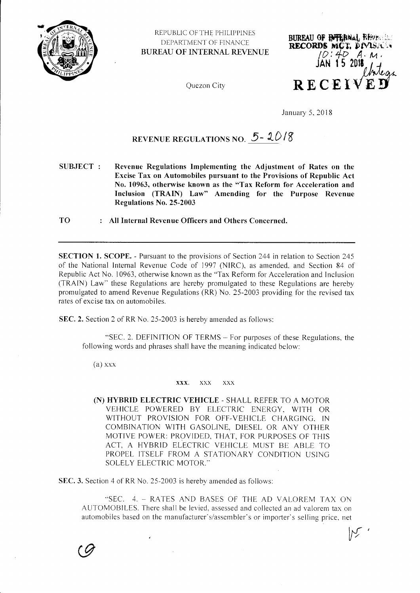

REPUBLIC OF THE PHILIPPINES DEPARTMENT OF FINANCE **BUREAU OF INTERNAL REVENUE** 

Quezon City



January 5, 2018

# REVENUE REGULATIONS NO.  $5 - 2018$

**SUBJECT:** Revenue Regulations Implementing the Adjustment of Rates on the Excise Tax on Automobiles pursuant to the Provisions of Republic Act No. 10963, otherwise known as the "Tax Reform for Acceleration and Inclusion (TRAIN) Law" Amending for the Purpose Revenue Regulations No. 25-2003

**TO** : All Internal Revenue Officers and Others Concerned.

SECTION 1. SCOPE. - Pursuant to the provisions of Section 244 in relation to Section 245 of the National Internal Revenue Code of 1997 (NIRC), as amended, and Section 84 of Republic Act No. 10963, otherwise known as the "Tax Reform for Acceleration and Inclusion (TRAIN) Law" these Regulations are hereby promulgated to these Regulations are hereby promulgated to amend Revenue Regulations (RR) No. 25-2003 providing for the revised tax rates of excise tax on automobiles.

SEC. 2. Section 2 of RR No. 25-2003 is hereby amended as follows:

"SEC. 2. DEFINITION OF TERMS – For purposes of these Regulations, the following words and phrases shall have the meaning indicated below:

 $(a)$  xxx

#### XXX.  $\overline{XX}X$  $\overline{\mathbf{X}}$

(N) HYBRID ELECTRIC VEHICLE - SHALL REFER TO A MOTOR VEHICLE POWERED BY ELECTRIC ENERGY, WITH OR WITHOUT PROVISION FOR OFF-VEHICLE CHARGING, IN COMBINATION WITH GASOLINE, DIESEL OR ANY OTHER MOTIVE POWER: PROVIDED, THAT, FOR PURPOSES OF THIS ACT, A HYBRID ELECTRIC VEHICLE MUST BE ABLE TO PROPEL ITSELF FROM A STATIONARY CONDITION USING **SOLELY ELECTRIC MOTOR."** 

SEC. 3. Section 4 of RR No. 25-2003 is hereby amended as follows:

"SEC. 4. - RATES AND BASES OF THE AD VALOREM TAX ON AUTOMOBILES. There shall be levied, assessed and collected an ad valorem tax on automobiles based on the manufacturer's/assembler's or importer's selling price, net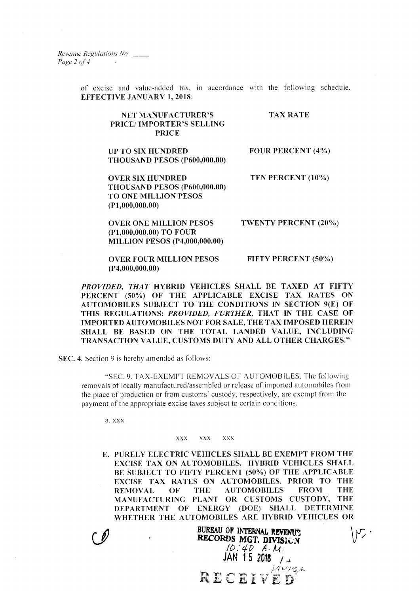Revenue Regulations No. Page  $2$  of  $4$ 

> of excise and value-added tax, in accordance with the following schedule. EFFECTIVB JANUARY 1. 20I8:

#### NET MANUFACTURER'S PRICE/ IMPORTER'S SELLING PRICE TAX RATE

UP TO SIX HUNDRED THOUSAND PESOS (P600,000.00) FOUR PERCENT (4%)

TEN PERCENT (10'%)

OVER SIX HUNDRED THOUSAND PESOS (P600,000.00) TO ONE MILLION PESOS (P1,000,000.00)

OVER ONE MILLION PESOS (P1,000,000.00) To FouR

MILLION PBSOS (P4,000,000.00)

TWENTY PERCENT (20%)

**OVER FOUR MILLION PESOS** (P4,000,000.00) FIFTY PERCENT (50%)

PROVIDED, THAT HYBRID VEHICLES SHALL BE TAXED AT FIFTY PERCENT (50%) OF THE APPLICABLE EXCISE TAX RATES ON AUTOMOBILES SUBJECT TO THE CONDITIONS IN SECTION 9(E) OF THIS REGULATIONS: PROVIDED, FURTHER, THAT IN THE CASE OF IMPORTED AUTOMOBILES NOT FOR SALE, THE TAX IMPOSED HEREIN SHALL BE BASED ON THE TOTAL LANDED VALUE, INCLUDING TRANSACTION VALUE, CUSTOMS DUTY AND ALL OTHER CHARGES."

SEC. 4. Section 9 is hereby amended as follows:

"SEC.9. TAX-EXEMPT REMOVALS OF AUTOMOBILES. The following removals of locally manufactured/assembled or release of imported automobiles from the place of production or from customs' custody, respectively, are exempt from the payment of the appropriate excise taxes subject to certain conditions.

a. xxx

#### xxx xxx xxx

E. PURELY ELECTRIC VEHICLES SHALL BE EXEMPT FROM THE EXCISE TAX ON AUTOMOBILES. HYBRID VEHICLES SHALL BE SUBJECT TO FIFTY PERCENT (50%) OF THE APPLICABLE EXCISE TAX RATES ON AUTOMOBILES. PRIOR TO THE REMOVAL OF THE AUTOMOBILES FROM THE REMOVAL OF THE AUTOMOBILES MANUFACTURING PLANT OR CUSTOMS CUSTODY, THE DEPARTMENT OF ENERGY (DOE) SHALL DETERMINE

WHETHER THE AUTOMOBILES ARE HYBRID VEHICLES OR<br>BUREAU OF INTERNAL REVENUS<br>RECORDS MGT, DIVISION  $lQ: 4D \quad A \cdot M$  $14N$  15  $2018$   $/$   $/$  $\mathbf{R}\,\mathbf{E}\,\mathbf{C}\,\mathbf{E}\,\mathbf{I}\,\mathbf{V}\,\mathbf{E}'\,\mathbf{D}'$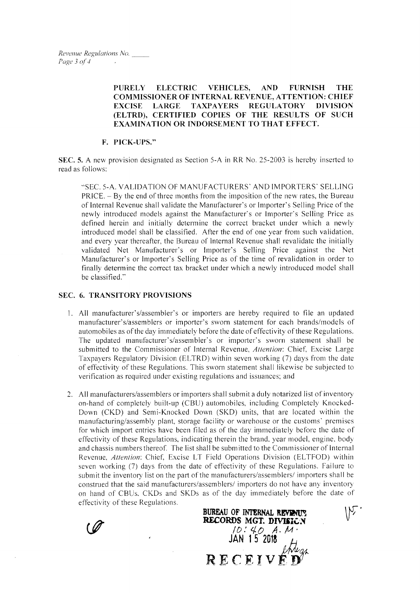PURELY ELECTRIC VEHICLES, AND FURNISH THE COMMISSIONER OF INTERNAL REVENUE, ATTENTION: CHIEF EXCISE LARGE TAXPAYERS REGULATORY DIVISION (ELTRD), CERTIFIED COPIES OF THE RESULTS OF SUCH EXAMINATION OR INDORSEMENT TO THAT EFFECT.

### F. PICK-UPS."

SEC. 5. A new provision designated as Section 5-A in RR No. 25-2003 is hereby inserted to read as follows:

..SEC. 5-A. VALIDATION OF MANUFACTURERS' AND IMPORTERS' SELLINC PRICE. - By the end of three months from the imposition of the new rates, the Bureau of Internal Revenue shall validate the Manufacturer's or Importer's Selling Price of the newly introduced models against the Manufacturer's or Importer's Selling Price as defined herein and initially determine the correct bracket under which a newly introduced model shall be classified. After the end of one year from such validation. and every year thereafter, the Bureau of Internal Revenue shall revalidate the initially validated Net Manufacturer's or Importer's Selling Price against the Net Manufacturer's or lmpofter's Selling Price as of the tirne of revalidation in order to finally determine the correct tax bracket under which a newly introduced model shall be classified."

## SEC. 6. TRANSITORY PROVISIONS

- l. AII manufacturer's/assembler's or importers are hereby required to file an updated manufacturer's/assemblers or importer's sworn statement for each brands/models of automobiles as of the day immediately before the date of effectivity of these Regulations. The updated manufacturer's/assembler's or importer's sworn statement shall be submitted to the Commissioner of Internal Revenue, Attention: Chief, Excise Large Taxpayers Regulatory Division (ELTRD) within seven working (7) days from the date of effectivity of these Regulations. This sworn statement shall likewise be subjected to verification as required under existing regulations and issuances; and
- 2. All manufacturers/assemblers or importers shall submit a duly notarized list of inventory on-hand of completely built-up (CBU) automobiles, including Completely Knocked-Down (CKD) and Semi-Knocked Down (SKD) units, that are located within the manufacturing/assembly plant, storage facility or warehouse or the customs' premises for which import entries have been filed as of the day immediately before the date of effectivity of these Regulations, indicating therein the brand, year model, engine, body and chassis numbers thereof. The list shall be submitted to the Commissioner of Internal Revenue. Attention: Chief. Excise LT Field Operations Division (ELTFOD) within seven working (7) days from the date of effectivity of these Regulations. Failure to submit the inventory list on the part of the manufacturers/assemblers/ importers shall be construed that the said manufacturers/assemblers/ importers do not have any inventory on hand of CBUs, CKDs and SKDs as of the day immediately before the date of effectivity of these Regulations.

BUREAU OF INTERNAL REVENUE **RECORDS MGT. DIVISIGN**<br> $\begin{array}{ccc} \hline \text{1D}:4D & A.14 \end{array}$  $JAN$  1 $5$  2018

 $V'$ 

RECEIV